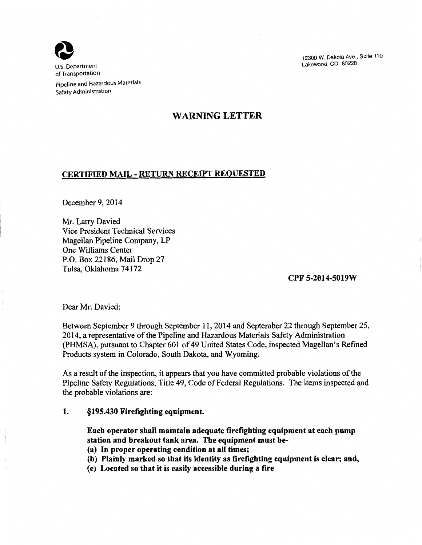

U.S. Department of Transportation

Pipeline and Hazardous Materials Safety Administration

## WARNING LETTER

## CERTIFIED MAIL - RETURN RECEIPT REoUESTED

December 9, 2014

Mr. Larry Davied Vice President Technical Services Magellan Pipeline Company, LP One Williams Center P.O. Box 22186, Mail Drop 27 Tulsa, Oklahoma 74172

Dear Mr. Davied:

12300 w. Dakota Ave., Suite 110 Lakewood, CO 80228

CPF 5-2014-5019W

Between September 9 through September 11,2014 and September 22 through September 25, 2014, a representative of the Pipeline and Hazardous Materials Safety Administration (PHMSA), pursuant to Chapter 601 of 49 United States Code, inspected Magellan's Refined Products system in Colorado, South Dakota, and Wyoming.

- (a) In proper operating condition at all times;
- (b) Plainly marked so that its identity as firefighting equipment is clear; and,
- (c) Located so that it is easily accessible during a fire

As a result of the inspection, it appears that you have committed probable violations of the Pipeline Safety Regulations, Title 49, Code of Federal Regulations. The items inspected and the probable violations are:

1. §195.430 Firefighting equipment.

Each operator shall maintain adequate firefighting equipment at each pump station and breakout tank area. The equipment must be-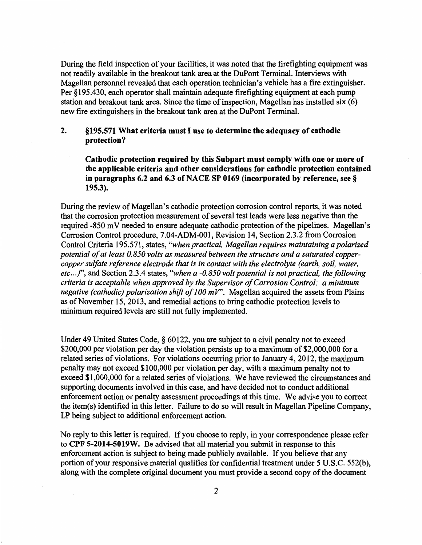During the field inspection of your facilities, it was noted that the firefighting equipment was not readily available in the breakout tank area at the DuPont Terminal. Interviews with Magellan personnel revealed that each operation technician's vehicle has a fire extinguisher. Per § 195.430, each operator shall maintain adequate firefighting equipment at each pump station and breakout tank area. Since the time of inspection, Magellan has installed six (6) new fire extinguishers in the breakout tank area at the DuPont Terminal.

## 2. §195.571 What criteria must I use to determine the adequacy of cathodic protection?

Cathodic protection required by this Subpart must comply with one or more of the applicable criteria and other considerations for cathodic protection contained in paragraphs 6.2 and 6.3 of NACE SP 0169 (incorporated by reference, see§ 195.3).

During the review of Magellan's cathodic protection corrosion control reports, it was noted that the corrosion protection measurement of several test leads were less negative than the required -850 mV needed to ensure adequate cathodic protection of the pipelines. Magellan's Corrosion Control procedure, 7.04-ADM-001, Revision 14, Section 2.3.2 from Corrosion Control Criteria 195.571, states, *"when practical, Magellan requires maintaining a polarized potential of at least 0.850 volts as measured between the structure and a saturated coppercopper sulfate reference electrode that is in contact with the electrolyte (earth, soil, water, etc ... )",* and Section 2.3.4 states, *"when a -0.850 volt potential is not practical, the following criteria is acceptable when approved by the Supervisor of Corrosion Control: a minimum negative (cathodic) polarization shift of 100 mV".* Magellan acquired the assets from Plains as of November 15, 2013, and remedial actions to bring cathodic protection levels to minimum required levels are still not fully implemented.

Under 49 United States Code, § 60122, you are subject to a civil penalty not to exceed \$200,000 per violation per day the violation persists up to a maximum of \$2,000,000 for a related series of violations. For violations occurring prior to January 4, 2012, the maximum penalty may not exceed \$100,000 per violation per day, with a maximum penalty not to exceed \$1,000,000 for a related series of violations. We have reviewed the circumstances and supporting documents involved in this case, and have decided not to conduct additional enforcement action or penalty assessment proceedings at this time. We advise you to correct the item(s) identified in this letter. Failure to do so will result in Magellan Pipeline Company, LP being subject to additional enforcement action.

No reply to this letter is required. If you choose to reply, in your correspondence please refer to CPF 5-2014-5019W. Be advised that all material you submit in response to this enforcement action is subject to being made publicly available. If you believe that any portion of your responsive material qualifies for confidential treatment under 5 U.S.C. 552(b), along with the complete original document you must provide a second copy of the document